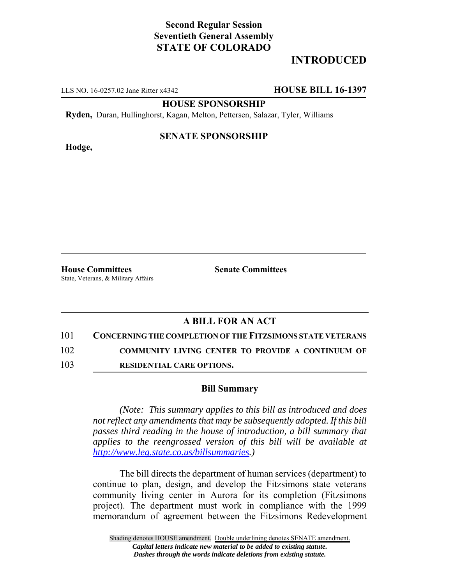## **Second Regular Session Seventieth General Assembly STATE OF COLORADO**

# **INTRODUCED**

LLS NO. 16-0257.02 Jane Ritter x4342 **HOUSE BILL 16-1397**

**HOUSE SPONSORSHIP**

**Ryden,** Duran, Hullinghorst, Kagan, Melton, Pettersen, Salazar, Tyler, Williams

**Hodge,**

#### **SENATE SPONSORSHIP**

**House Committees Senate Committees** State, Veterans, & Military Affairs

### **A BILL FOR AN ACT**

101 **CONCERNING THE COMPLETION OF THE FITZSIMONS STATE VETERANS**

102 **COMMUNITY LIVING CENTER TO PROVIDE A CONTINUUM OF**

103 **RESIDENTIAL CARE OPTIONS.**

#### **Bill Summary**

*(Note: This summary applies to this bill as introduced and does not reflect any amendments that may be subsequently adopted. If this bill passes third reading in the house of introduction, a bill summary that applies to the reengrossed version of this bill will be available at http://www.leg.state.co.us/billsummaries.)*

The bill directs the department of human services (department) to continue to plan, design, and develop the Fitzsimons state veterans community living center in Aurora for its completion (Fitzsimons project). The department must work in compliance with the 1999 memorandum of agreement between the Fitzsimons Redevelopment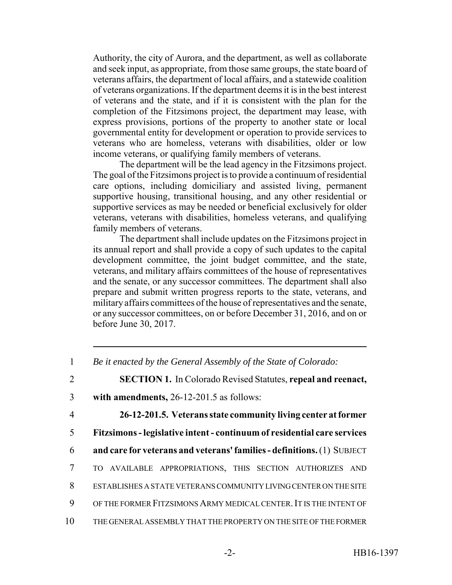Authority, the city of Aurora, and the department, as well as collaborate and seek input, as appropriate, from those same groups, the state board of veterans affairs, the department of local affairs, and a statewide coalition of veterans organizations. If the department deems it is in the best interest of veterans and the state, and if it is consistent with the plan for the completion of the Fitzsimons project, the department may lease, with express provisions, portions of the property to another state or local governmental entity for development or operation to provide services to veterans who are homeless, veterans with disabilities, older or low income veterans, or qualifying family members of veterans.

The department will be the lead agency in the Fitzsimons project. The goal of the Fitzsimons project is to provide a continuum of residential care options, including domiciliary and assisted living, permanent supportive housing, transitional housing, and any other residential or supportive services as may be needed or beneficial exclusively for older veterans, veterans with disabilities, homeless veterans, and qualifying family members of veterans.

The department shall include updates on the Fitzsimons project in its annual report and shall provide a copy of such updates to the capital development committee, the joint budget committee, and the state, veterans, and military affairs committees of the house of representatives and the senate, or any successor committees. The department shall also prepare and submit written progress reports to the state, veterans, and military affairs committees of the house of representatives and the senate, or any successor committees, on or before December 31, 2016, and on or before June 30, 2017.

4 **26-12-201.5. Veterans state community living center at former** 5 **Fitzsimons - legislative intent - continuum of residential care services** 6 **and care for veterans and veterans' families - definitions.** (1) SUBJECT

- 
- 7 TO AVAILABLE APPROPRIATIONS, THIS SECTION AUTHORIZES AND
- 8 ESTABLISHES A STATE VETERANS COMMUNITY LIVING CENTER ON THE SITE
- 9 OF THE FORMER FITZSIMONS ARMY MEDICAL CENTER.IT IS THE INTENT OF
- 10 THE GENERAL ASSEMBLY THAT THE PROPERTY ON THE SITE OF THE FORMER

<sup>1</sup> *Be it enacted by the General Assembly of the State of Colorado:*

<sup>2</sup> **SECTION 1.** In Colorado Revised Statutes, **repeal and reenact,**

<sup>3</sup> **with amendments,** 26-12-201.5 as follows: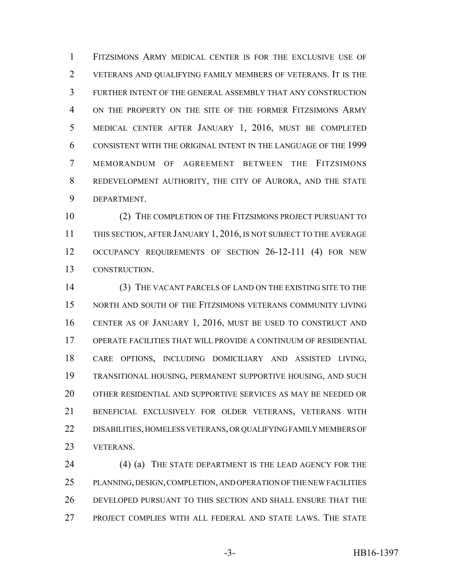FITZSIMONS ARMY MEDICAL CENTER IS FOR THE EXCLUSIVE USE OF VETERANS AND QUALIFYING FAMILY MEMBERS OF VETERANS. IT IS THE FURTHER INTENT OF THE GENERAL ASSEMBLY THAT ANY CONSTRUCTION ON THE PROPERTY ON THE SITE OF THE FORMER FITZSIMONS ARMY MEDICAL CENTER AFTER JANUARY 1, 2016, MUST BE COMPLETED CONSISTENT WITH THE ORIGINAL INTENT IN THE LANGUAGE OF THE 1999 MEMORANDUM OF AGREEMENT BETWEEN THE FITZSIMONS REDEVELOPMENT AUTHORITY, THE CITY OF AURORA, AND THE STATE DEPARTMENT.

 (2) THE COMPLETION OF THE FITZSIMONS PROJECT PURSUANT TO THIS SECTION, AFTER JANUARY 1, 2016, IS NOT SUBJECT TO THE AVERAGE OCCUPANCY REQUIREMENTS OF SECTION 26-12-111 (4) FOR NEW CONSTRUCTION.

 (3) THE VACANT PARCELS OF LAND ON THE EXISTING SITE TO THE NORTH AND SOUTH OF THE FITZSIMONS VETERANS COMMUNITY LIVING CENTER AS OF JANUARY 1, 2016, MUST BE USED TO CONSTRUCT AND OPERATE FACILITIES THAT WILL PROVIDE A CONTINUUM OF RESIDENTIAL CARE OPTIONS, INCLUDING DOMICILIARY AND ASSISTED LIVING, TRANSITIONAL HOUSING, PERMANENT SUPPORTIVE HOUSING, AND SUCH OTHER RESIDENTIAL AND SUPPORTIVE SERVICES AS MAY BE NEEDED OR BENEFICIAL EXCLUSIVELY FOR OLDER VETERANS, VETERANS WITH DISABILITIES, HOMELESS VETERANS, OR QUALIFYING FAMILY MEMBERS OF VETERANS.

 (4) (a) THE STATE DEPARTMENT IS THE LEAD AGENCY FOR THE PLANNING, DESIGN, COMPLETION, AND OPERATION OF THE NEW FACILITIES DEVELOPED PURSUANT TO THIS SECTION AND SHALL ENSURE THAT THE PROJECT COMPLIES WITH ALL FEDERAL AND STATE LAWS. THE STATE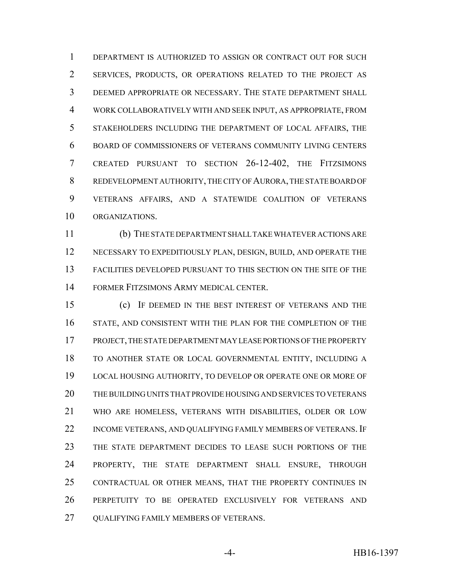DEPARTMENT IS AUTHORIZED TO ASSIGN OR CONTRACT OUT FOR SUCH SERVICES, PRODUCTS, OR OPERATIONS RELATED TO THE PROJECT AS DEEMED APPROPRIATE OR NECESSARY. THE STATE DEPARTMENT SHALL WORK COLLABORATIVELY WITH AND SEEK INPUT, AS APPROPRIATE, FROM STAKEHOLDERS INCLUDING THE DEPARTMENT OF LOCAL AFFAIRS, THE BOARD OF COMMISSIONERS OF VETERANS COMMUNITY LIVING CENTERS CREATED PURSUANT TO SECTION 26-12-402, THE FITZSIMONS REDEVELOPMENT AUTHORITY, THE CITY OF AURORA, THE STATE BOARD OF VETERANS AFFAIRS, AND A STATEWIDE COALITION OF VETERANS ORGANIZATIONS.

 (b) THE STATE DEPARTMENT SHALL TAKE WHATEVER ACTIONS ARE NECESSARY TO EXPEDITIOUSLY PLAN, DESIGN, BUILD, AND OPERATE THE FACILITIES DEVELOPED PURSUANT TO THIS SECTION ON THE SITE OF THE FORMER FITZSIMONS ARMY MEDICAL CENTER.

 (c) IF DEEMED IN THE BEST INTEREST OF VETERANS AND THE STATE, AND CONSISTENT WITH THE PLAN FOR THE COMPLETION OF THE PROJECT, THE STATE DEPARTMENT MAY LEASE PORTIONS OF THE PROPERTY TO ANOTHER STATE OR LOCAL GOVERNMENTAL ENTITY, INCLUDING A LOCAL HOUSING AUTHORITY, TO DEVELOP OR OPERATE ONE OR MORE OF THE BUILDING UNITS THAT PROVIDE HOUSING AND SERVICES TO VETERANS WHO ARE HOMELESS, VETERANS WITH DISABILITIES, OLDER OR LOW 22 INCOME VETERANS, AND QUALIFYING FAMILY MEMBERS OF VETERANS. IF THE STATE DEPARTMENT DECIDES TO LEASE SUCH PORTIONS OF THE PROPERTY, THE STATE DEPARTMENT SHALL ENSURE, THROUGH CONTRACTUAL OR OTHER MEANS, THAT THE PROPERTY CONTINUES IN PERPETUITY TO BE OPERATED EXCLUSIVELY FOR VETERANS AND QUALIFYING FAMILY MEMBERS OF VETERANS.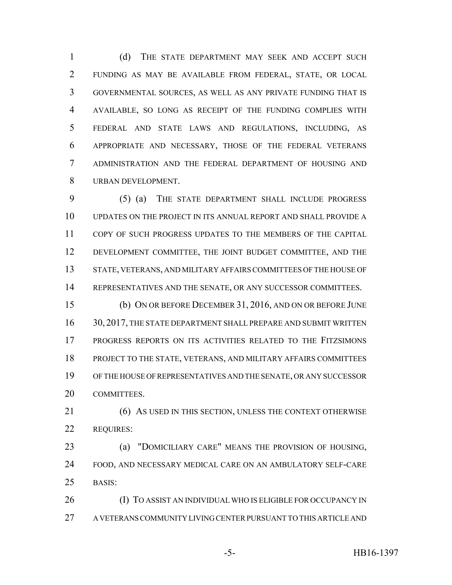(d) THE STATE DEPARTMENT MAY SEEK AND ACCEPT SUCH FUNDING AS MAY BE AVAILABLE FROM FEDERAL, STATE, OR LOCAL GOVERNMENTAL SOURCES, AS WELL AS ANY PRIVATE FUNDING THAT IS AVAILABLE, SO LONG AS RECEIPT OF THE FUNDING COMPLIES WITH FEDERAL AND STATE LAWS AND REGULATIONS, INCLUDING, AS APPROPRIATE AND NECESSARY, THOSE OF THE FEDERAL VETERANS ADMINISTRATION AND THE FEDERAL DEPARTMENT OF HOUSING AND URBAN DEVELOPMENT.

 (5) (a) THE STATE DEPARTMENT SHALL INCLUDE PROGRESS UPDATES ON THE PROJECT IN ITS ANNUAL REPORT AND SHALL PROVIDE A COPY OF SUCH PROGRESS UPDATES TO THE MEMBERS OF THE CAPITAL DEVELOPMENT COMMITTEE, THE JOINT BUDGET COMMITTEE, AND THE STATE, VETERANS, AND MILITARY AFFAIRS COMMITTEES OF THE HOUSE OF REPRESENTATIVES AND THE SENATE, OR ANY SUCCESSOR COMMITTEES.

 (b) ON OR BEFORE DECEMBER 31, 2016, AND ON OR BEFORE JUNE 16 30, 2017, THE STATE DEPARTMENT SHALL PREPARE AND SUBMIT WRITTEN PROGRESS REPORTS ON ITS ACTIVITIES RELATED TO THE FITZSIMONS PROJECT TO THE STATE, VETERANS, AND MILITARY AFFAIRS COMMITTEES OF THE HOUSE OF REPRESENTATIVES AND THE SENATE, OR ANY SUCCESSOR COMMITTEES.

21 (6) AS USED IN THIS SECTION, UNLESS THE CONTEXT OTHERWISE REQUIRES:

 (a) "DOMICILIARY CARE" MEANS THE PROVISION OF HOUSING, FOOD, AND NECESSARY MEDICAL CARE ON AN AMBULATORY SELF-CARE BASIS:

 (I) TO ASSIST AN INDIVIDUAL WHO IS ELIGIBLE FOR OCCUPANCY IN A VETERANS COMMUNITY LIVING CENTER PURSUANT TO THIS ARTICLE AND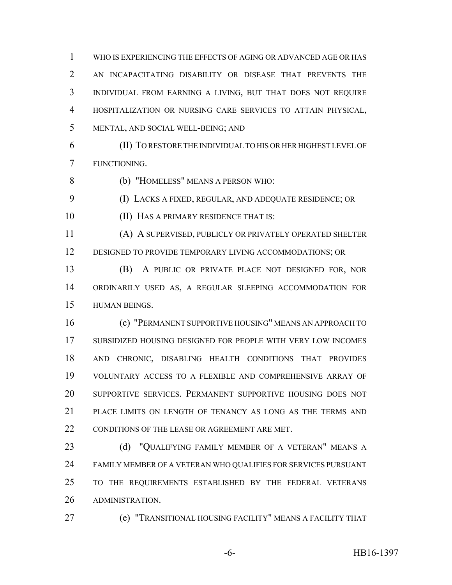WHO IS EXPERIENCING THE EFFECTS OF AGING OR ADVANCED AGE OR HAS AN INCAPACITATING DISABILITY OR DISEASE THAT PREVENTS THE INDIVIDUAL FROM EARNING A LIVING, BUT THAT DOES NOT REQUIRE HOSPITALIZATION OR NURSING CARE SERVICES TO ATTAIN PHYSICAL, MENTAL, AND SOCIAL WELL-BEING; AND

 (II) TO RESTORE THE INDIVIDUAL TO HIS OR HER HIGHEST LEVEL OF FUNCTIONING.

(b) "HOMELESS" MEANS A PERSON WHO:

(I) LACKS A FIXED, REGULAR, AND ADEQUATE RESIDENCE; OR

**(II) HAS A PRIMARY RESIDENCE THAT IS:** 

 (A) A SUPERVISED, PUBLICLY OR PRIVATELY OPERATED SHELTER DESIGNED TO PROVIDE TEMPORARY LIVING ACCOMMODATIONS; OR

 (B) A PUBLIC OR PRIVATE PLACE NOT DESIGNED FOR, NOR ORDINARILY USED AS, A REGULAR SLEEPING ACCOMMODATION FOR HUMAN BEINGS.

 (c) "PERMANENT SUPPORTIVE HOUSING" MEANS AN APPROACH TO SUBSIDIZED HOUSING DESIGNED FOR PEOPLE WITH VERY LOW INCOMES AND CHRONIC, DISABLING HEALTH CONDITIONS THAT PROVIDES VOLUNTARY ACCESS TO A FLEXIBLE AND COMPREHENSIVE ARRAY OF SUPPORTIVE SERVICES. PERMANENT SUPPORTIVE HOUSING DOES NOT PLACE LIMITS ON LENGTH OF TENANCY AS LONG AS THE TERMS AND 22 CONDITIONS OF THE LEASE OR AGREEMENT ARE MET.

23 (d) "QUALIFYING FAMILY MEMBER OF A VETERAN" MEANS A FAMILY MEMBER OF A VETERAN WHO QUALIFIES FOR SERVICES PURSUANT TO THE REQUIREMENTS ESTABLISHED BY THE FEDERAL VETERANS ADMINISTRATION.

(e) "TRANSITIONAL HOUSING FACILITY" MEANS A FACILITY THAT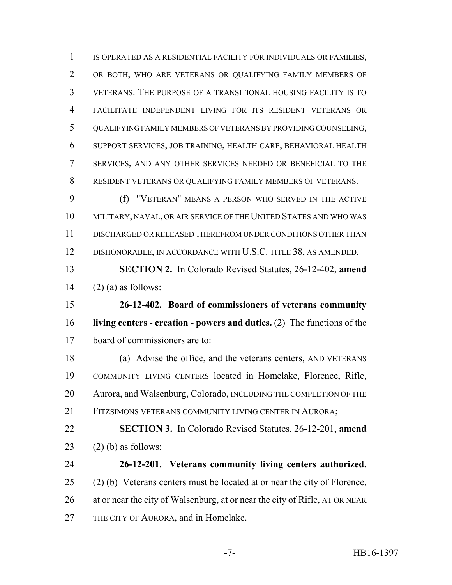IS OPERATED AS A RESIDENTIAL FACILITY FOR INDIVIDUALS OR FAMILIES, OR BOTH, WHO ARE VETERANS OR QUALIFYING FAMILY MEMBERS OF VETERANS. THE PURPOSE OF A TRANSITIONAL HOUSING FACILITY IS TO FACILITATE INDEPENDENT LIVING FOR ITS RESIDENT VETERANS OR QUALIFYING FAMILY MEMBERS OF VETERANS BY PROVIDING COUNSELING, SUPPORT SERVICES, JOB TRAINING, HEALTH CARE, BEHAVIORAL HEALTH SERVICES, AND ANY OTHER SERVICES NEEDED OR BENEFICIAL TO THE RESIDENT VETERANS OR QUALIFYING FAMILY MEMBERS OF VETERANS.

 (f) "VETERAN" MEANS A PERSON WHO SERVED IN THE ACTIVE MILITARY, NAVAL, OR AIR SERVICE OF THE UNITED STATES AND WHO WAS DISCHARGED OR RELEASED THEREFROM UNDER CONDITIONS OTHER THAN DISHONORABLE, IN ACCORDANCE WITH U.S.C. TITLE 38, AS AMENDED.

 **SECTION 2.** In Colorado Revised Statutes, 26-12-402, **amend** 14  $(2)$  (a) as follows:

 **26-12-402. Board of commissioners of veterans community living centers - creation - powers and duties.** (2) The functions of the board of commissioners are to:

18 (a) Advise the office, and the veterans centers, AND VETERANS COMMUNITY LIVING CENTERS located in Homelake, Florence, Rifle, 20 Aurora, and Walsenburg, Colorado, INCLUDING THE COMPLETION OF THE FITZSIMONS VETERANS COMMUNITY LIVING CENTER IN AURORA;

 **SECTION 3.** In Colorado Revised Statutes, 26-12-201, **amend** 23  $(2)$  (b) as follows:

 **26-12-201. Veterans community living centers authorized.** (2) (b) Veterans centers must be located at or near the city of Florence, at or near the city of Walsenburg, at or near the city of Rifle, AT OR NEAR THE CITY OF AURORA, and in Homelake.